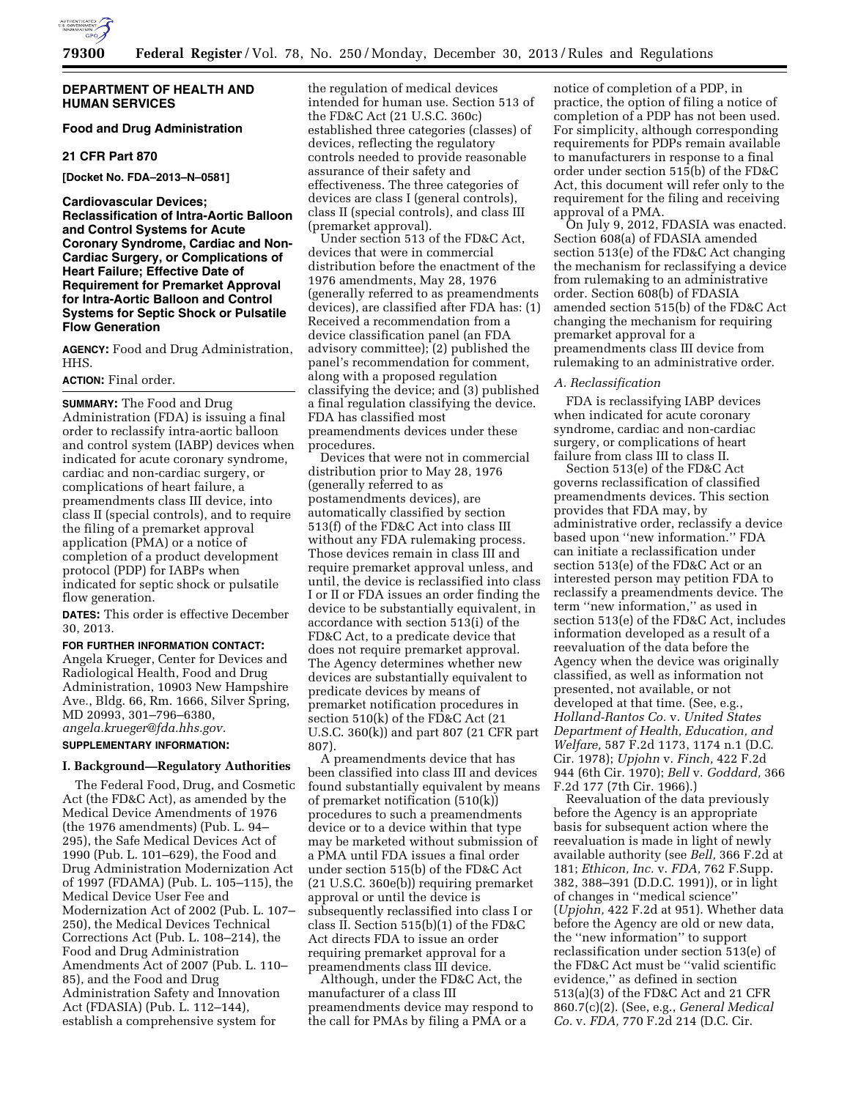

## **DEPARTMENT OF HEALTH AND HUMAN SERVICES**

## **Food and Drug Administration**

### **21 CFR Part 870**

**[Docket No. FDA–2013–N–0581]** 

**Cardiovascular Devices; Reclassification of Intra-Aortic Balloon and Control Systems for Acute Coronary Syndrome, Cardiac and Non-Cardiac Surgery, or Complications of Heart Failure; Effective Date of Requirement for Premarket Approval for Intra-Aortic Balloon and Control Systems for Septic Shock or Pulsatile Flow Generation** 

**AGENCY:** Food and Drug Administration, HHS.

#### **ACTION:** Final order.

**SUMMARY:** The Food and Drug Administration (FDA) is issuing a final order to reclassify intra-aortic balloon and control system (IABP) devices when indicated for acute coronary syndrome, cardiac and non-cardiac surgery, or complications of heart failure, a preamendments class III device, into class II (special controls), and to require the filing of a premarket approval application (PMA) or a notice of completion of a product development protocol (PDP) for IABPs when indicated for septic shock or pulsatile flow generation.

**DATES:** This order is effective December 30, 2013.

**FOR FURTHER INFORMATION CONTACT:**  Angela Krueger, Center for Devices and Radiological Health, Food and Drug Administration, 10903 New Hampshire Ave., Bldg. 66, Rm. 1666, Silver Spring, MD 20993, 301–796–6380, *[angela.krueger@fda.hhs.gov.](mailto:angela.krueger@fda.hhs.gov)*  **SUPPLEMENTARY INFORMATION:**

# **I. Background—Regulatory Authorities**

The Federal Food, Drug, and Cosmetic Act (the FD&C Act), as amended by the Medical Device Amendments of 1976 (the 1976 amendments) (Pub. L. 94– 295), the Safe Medical Devices Act of 1990 (Pub. L. 101–629), the Food and Drug Administration Modernization Act of 1997 (FDAMA) (Pub. L. 105–115), the Medical Device User Fee and Modernization Act of 2002 (Pub. L. 107– 250), the Medical Devices Technical Corrections Act (Pub. L. 108–214), the Food and Drug Administration Amendments Act of 2007 (Pub. L. 110– 85), and the Food and Drug Administration Safety and Innovation Act (FDASIA) (Pub. L. 112–144), establish a comprehensive system for

the regulation of medical devices intended for human use. Section 513 of the FD&C Act (21 U.S.C. 360c) established three categories (classes) of devices, reflecting the regulatory controls needed to provide reasonable assurance of their safety and effectiveness. The three categories of devices are class I (general controls), class II (special controls), and class III (premarket approval).

Under section 513 of the FD&C Act, devices that were in commercial distribution before the enactment of the 1976 amendments, May 28, 1976 (generally referred to as preamendments devices), are classified after FDA has: (1) Received a recommendation from a device classification panel (an FDA advisory committee); (2) published the panel's recommendation for comment, along with a proposed regulation classifying the device; and (3) published a final regulation classifying the device. FDA has classified most preamendments devices under these procedures.

Devices that were not in commercial distribution prior to May 28, 1976 (generally referred to as postamendments devices), are automatically classified by section 513(f) of the FD&C Act into class III without any FDA rulemaking process. Those devices remain in class III and require premarket approval unless, and until, the device is reclassified into class I or II or FDA issues an order finding the device to be substantially equivalent, in accordance with section 513(i) of the FD&C Act, to a predicate device that does not require premarket approval. The Agency determines whether new devices are substantially equivalent to predicate devices by means of premarket notification procedures in section 510(k) of the FD&C Act (21 U.S.C. 360(k)) and part 807 (21 CFR part 807).

A preamendments device that has been classified into class III and devices found substantially equivalent by means of premarket notification (510(k)) procedures to such a preamendments device or to a device within that type may be marketed without submission of a PMA until FDA issues a final order under section 515(b) of the FD&C Act (21 U.S.C. 360e(b)) requiring premarket approval or until the device is subsequently reclassified into class I or class II. Section 515(b)(1) of the FD&C Act directs FDA to issue an order requiring premarket approval for a preamendments class III device.

Although, under the FD&C Act, the manufacturer of a class III preamendments device may respond to the call for PMAs by filing a PMA or a

notice of completion of a PDP, in practice, the option of filing a notice of completion of a PDP has not been used. For simplicity, although corresponding requirements for PDPs remain available to manufacturers in response to a final order under section 515(b) of the FD&C Act, this document will refer only to the requirement for the filing and receiving approval of a PMA.

On July 9, 2012, FDASIA was enacted. Section 608(a) of FDASIA amended section 513(e) of the FD&C Act changing the mechanism for reclassifying a device from rulemaking to an administrative order. Section 608(b) of FDASIA amended section 515(b) of the FD&C Act changing the mechanism for requiring premarket approval for a preamendments class III device from rulemaking to an administrative order.

#### *A. Reclassification*

FDA is reclassifying IABP devices when indicated for acute coronary syndrome, cardiac and non-cardiac surgery, or complications of heart failure from class III to class II.

Section 513(e) of the FD&C Act governs reclassification of classified preamendments devices. This section provides that FDA may, by administrative order, reclassify a device based upon ''new information.'' FDA can initiate a reclassification under section 513(e) of the FD&C Act or an interested person may petition FDA to reclassify a preamendments device. The term ''new information,'' as used in section 513(e) of the FD&C Act, includes information developed as a result of a reevaluation of the data before the Agency when the device was originally classified, as well as information not presented, not available, or not developed at that time. (See, e.g., *Holland-Rantos Co.* v. *United States Department of Health, Education, and Welfare,* 587 F.2d 1173, 1174 n.1 (D.C. Cir. 1978); *Upjohn* v. *Finch,* 422 F.2d 944 (6th Cir. 1970); *Bell* v. *Goddard,* 366 F.2d 177 (7th Cir. 1966).)

Reevaluation of the data previously before the Agency is an appropriate basis for subsequent action where the reevaluation is made in light of newly available authority (see *Bell,* 366 F.2d at 181; *Ethicon, Inc.* v. *FDA,* 762 F.Supp. 382, 388–391 (D.D.C. 1991)), or in light of changes in ''medical science'' (*Upjohn,* 422 F.2d at 951). Whether data before the Agency are old or new data, the ''new information'' to support reclassification under section 513(e) of the FD&C Act must be ''valid scientific evidence,'' as defined in section 513(a)(3) of the FD&C Act and 21 CFR 860.7(c)(2). (See, e.g., *General Medical Co.* v. *FDA,* 770 F.2d 214 (D.C. Cir.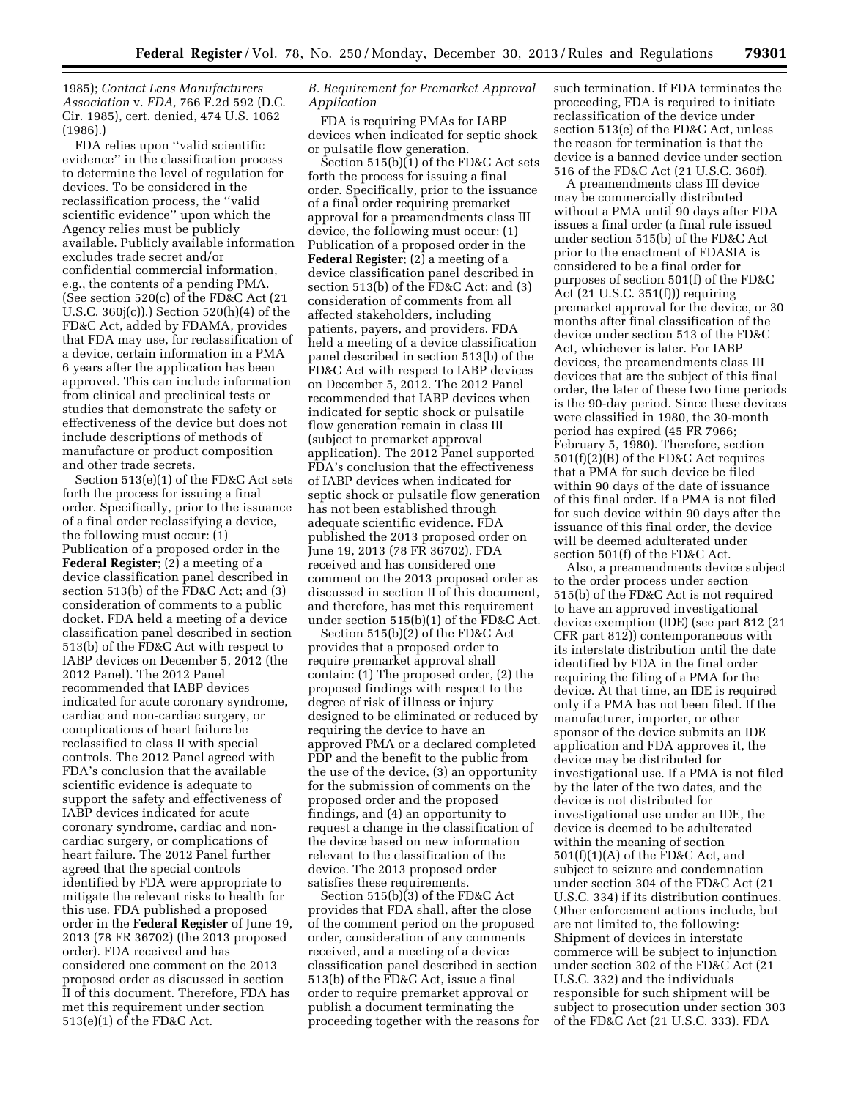1985); *Contact Lens Manufacturers Association* v. *FDA,* 766 F.2d 592 (D.C. Cir. 1985), cert. denied, 474 U.S. 1062 (1986).)

FDA relies upon ''valid scientific evidence'' in the classification process to determine the level of regulation for devices. To be considered in the reclassification process, the ''valid scientific evidence'' upon which the Agency relies must be publicly available. Publicly available information excludes trade secret and/or confidential commercial information, e.g., the contents of a pending PMA. (See section 520(c) of the FD&C Act (21 U.S.C. 360j(c)).) Section 520(h)(4) of the FD&C Act, added by FDAMA, provides that FDA may use, for reclassification of a device, certain information in a PMA 6 years after the application has been approved. This can include information from clinical and preclinical tests or studies that demonstrate the safety or effectiveness of the device but does not include descriptions of methods of manufacture or product composition and other trade secrets.

Section 513(e)(1) of the FD&C Act sets forth the process for issuing a final order. Specifically, prior to the issuance of a final order reclassifying a device, the following must occur: (1) Publication of a proposed order in the **Federal Register**; (2) a meeting of a device classification panel described in section 513(b) of the FD&C Act; and (3) consideration of comments to a public docket. FDA held a meeting of a device classification panel described in section 513(b) of the FD&C Act with respect to IABP devices on December 5, 2012 (the 2012 Panel). The 2012 Panel recommended that IABP devices indicated for acute coronary syndrome, cardiac and non-cardiac surgery, or complications of heart failure be reclassified to class II with special controls. The 2012 Panel agreed with FDA's conclusion that the available scientific evidence is adequate to support the safety and effectiveness of IABP devices indicated for acute coronary syndrome, cardiac and noncardiac surgery, or complications of heart failure. The 2012 Panel further agreed that the special controls identified by FDA were appropriate to mitigate the relevant risks to health for this use. FDA published a proposed order in the **Federal Register** of June 19, 2013 (78 FR 36702) (the 2013 proposed order). FDA received and has considered one comment on the 2013 proposed order as discussed in section II of this document. Therefore, FDA has met this requirement under section 513(e)(1) of the FD&C Act.

## *B. Requirement for Premarket Approval Application*

FDA is requiring PMAs for IABP devices when indicated for septic shock or pulsatile flow generation.

Section 515(b)(1) of the FD&C Act sets forth the process for issuing a final order. Specifically, prior to the issuance of a final order requiring premarket approval for a preamendments class III device, the following must occur: (1) Publication of a proposed order in the **Federal Register**; (2) a meeting of a device classification panel described in section 513(b) of the FD&C Act; and (3) consideration of comments from all affected stakeholders, including patients, payers, and providers. FDA held a meeting of a device classification panel described in section 513(b) of the FD&C Act with respect to IABP devices on December 5, 2012. The 2012 Panel recommended that IABP devices when indicated for septic shock or pulsatile flow generation remain in class III (subject to premarket approval application). The 2012 Panel supported FDA's conclusion that the effectiveness of IABP devices when indicated for septic shock or pulsatile flow generation has not been established through adequate scientific evidence. FDA published the 2013 proposed order on June 19, 2013 (78 FR 36702). FDA received and has considered one comment on the 2013 proposed order as discussed in section II of this document, and therefore, has met this requirement under section 515(b)(1) of the FD&C Act.

Section 515(b)(2) of the FD&C Act provides that a proposed order to require premarket approval shall contain: (1) The proposed order, (2) the proposed findings with respect to the degree of risk of illness or injury designed to be eliminated or reduced by requiring the device to have an approved PMA or a declared completed PDP and the benefit to the public from the use of the device, (3) an opportunity for the submission of comments on the proposed order and the proposed findings, and (4) an opportunity to request a change in the classification of the device based on new information relevant to the classification of the device. The 2013 proposed order satisfies these requirements.

Section 515(b)(3) of the FD&C Act provides that FDA shall, after the close of the comment period on the proposed order, consideration of any comments received, and a meeting of a device classification panel described in section 513(b) of the FD&C Act, issue a final order to require premarket approval or publish a document terminating the proceeding together with the reasons for such termination. If FDA terminates the proceeding, FDA is required to initiate reclassification of the device under section 513(e) of the FD&C Act, unless the reason for termination is that the device is a banned device under section 516 of the FD&C Act (21 U.S.C. 360f).

A preamendments class III device may be commercially distributed without a PMA until 90 days after FDA issues a final order (a final rule issued under section 515(b) of the FD&C Act prior to the enactment of FDASIA is considered to be a final order for purposes of section 501(f) of the FD&C Act (21 U.S.C. 351(f))) requiring premarket approval for the device, or 30 months after final classification of the device under section 513 of the FD&C Act, whichever is later. For IABP devices, the preamendments class III devices that are the subject of this final order, the later of these two time periods is the 90-day period. Since these devices were classified in 1980, the 30-month period has expired (45 FR 7966; February 5, 1980). Therefore, section 501(f)(2)(B) of the FD&C Act requires that a PMA for such device be filed within 90 days of the date of issuance of this final order. If a PMA is not filed for such device within 90 days after the issuance of this final order, the device will be deemed adulterated under section 501(f) of the FD&C Act.

Also, a preamendments device subject to the order process under section 515(b) of the FD&C Act is not required to have an approved investigational device exemption (IDE) (see part 812 (21 CFR part 812)) contemporaneous with its interstate distribution until the date identified by FDA in the final order requiring the filing of a PMA for the device. At that time, an IDE is required only if a PMA has not been filed. If the manufacturer, importer, or other sponsor of the device submits an IDE application and FDA approves it, the device may be distributed for investigational use. If a PMA is not filed by the later of the two dates, and the device is not distributed for investigational use under an IDE, the device is deemed to be adulterated within the meaning of section 501(f)(1)(A) of the FD&C Act, and subject to seizure and condemnation under section 304 of the FD&C Act (21 U.S.C. 334) if its distribution continues. Other enforcement actions include, but are not limited to, the following: Shipment of devices in interstate commerce will be subject to injunction under section 302 of the FD&C Act (21 U.S.C. 332) and the individuals responsible for such shipment will be subject to prosecution under section 303 of the FD&C Act (21 U.S.C. 333). FDA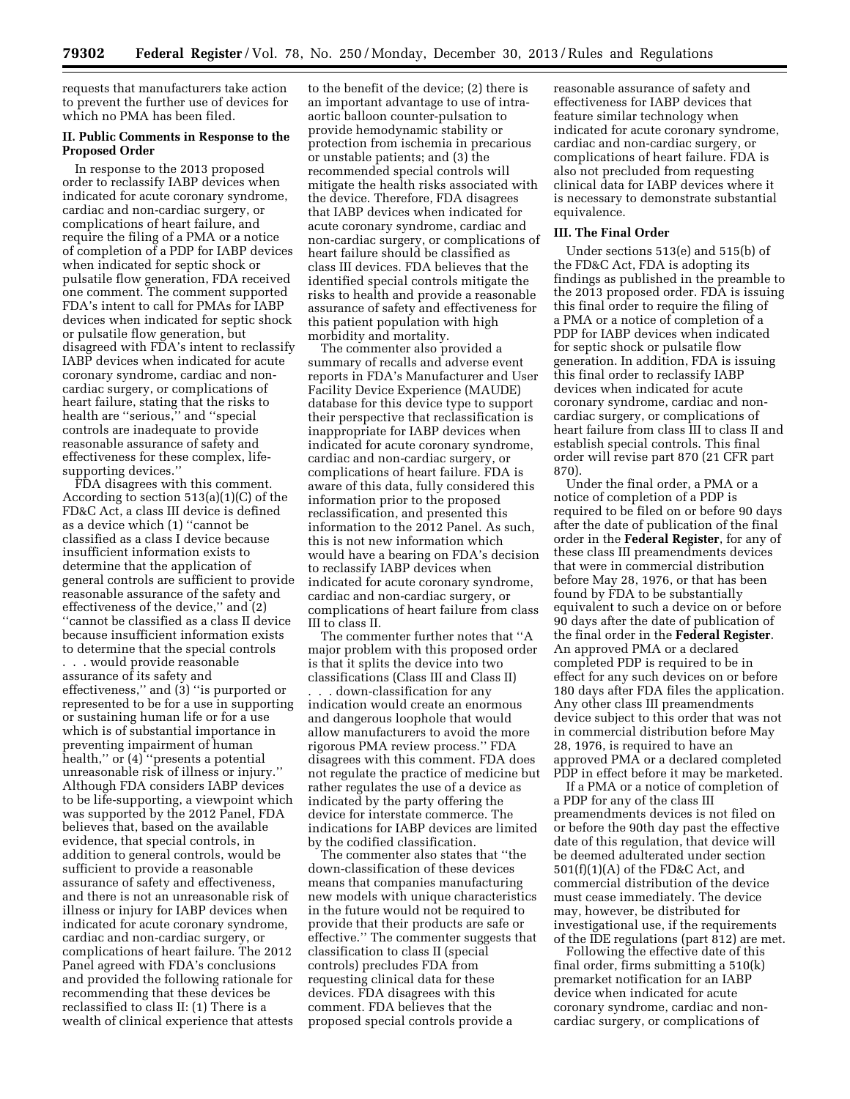requests that manufacturers take action to prevent the further use of devices for which no PMA has been filed.

## **II. Public Comments in Response to the Proposed Order**

In response to the 2013 proposed order to reclassify IABP devices when indicated for acute coronary syndrome, cardiac and non-cardiac surgery, or complications of heart failure, and require the filing of a PMA or a notice of completion of a PDP for IABP devices when indicated for septic shock or pulsatile flow generation, FDA received one comment. The comment supported FDA's intent to call for PMAs for IABP devices when indicated for septic shock or pulsatile flow generation, but disagreed with FDA's intent to reclassify IABP devices when indicated for acute coronary syndrome, cardiac and noncardiac surgery, or complications of heart failure, stating that the risks to health are ''serious,'' and ''special controls are inadequate to provide reasonable assurance of safety and effectiveness for these complex, lifesupporting devices.''

FDA disagrees with this comment. According to section 513(a)(1)(C) of the FD&C Act, a class III device is defined as a device which (1) ''cannot be classified as a class I device because insufficient information exists to determine that the application of general controls are sufficient to provide reasonable assurance of the safety and effectiveness of the device,'' and (2) ''cannot be classified as a class II device because insufficient information exists to determine that the special controls

. . . would provide reasonable assurance of its safety and effectiveness,'' and (3) ''is purported or represented to be for a use in supporting or sustaining human life or for a use which is of substantial importance in preventing impairment of human health,'' or (4) ''presents a potential unreasonable risk of illness or injury.'' Although FDA considers IABP devices to be life-supporting, a viewpoint which was supported by the 2012 Panel, FDA believes that, based on the available evidence, that special controls, in addition to general controls, would be sufficient to provide a reasonable assurance of safety and effectiveness, and there is not an unreasonable risk of illness or injury for IABP devices when indicated for acute coronary syndrome, cardiac and non-cardiac surgery, or complications of heart failure. The 2012 Panel agreed with FDA's conclusions and provided the following rationale for recommending that these devices be reclassified to class II: (1) There is a wealth of clinical experience that attests

to the benefit of the device; (2) there is an important advantage to use of intraaortic balloon counter-pulsation to provide hemodynamic stability or protection from ischemia in precarious or unstable patients; and (3) the recommended special controls will mitigate the health risks associated with the device. Therefore, FDA disagrees that IABP devices when indicated for acute coronary syndrome, cardiac and non-cardiac surgery, or complications of heart failure should be classified as class III devices. FDA believes that the identified special controls mitigate the risks to health and provide a reasonable assurance of safety and effectiveness for this patient population with high morbidity and mortality.

The commenter also provided a summary of recalls and adverse event reports in FDA's Manufacturer and User Facility Device Experience (MAUDE) database for this device type to support their perspective that reclassification is inappropriate for IABP devices when indicated for acute coronary syndrome, cardiac and non-cardiac surgery, or complications of heart failure. FDA is aware of this data, fully considered this information prior to the proposed reclassification, and presented this information to the 2012 Panel. As such, this is not new information which would have a bearing on FDA's decision to reclassify IABP devices when indicated for acute coronary syndrome, cardiac and non-cardiac surgery, or complications of heart failure from class III to class II.

The commenter further notes that ''A major problem with this proposed order is that it splits the device into two classifications (Class III and Class II) . . . down-classification for any indication would create an enormous and dangerous loophole that would allow manufacturers to avoid the more rigorous PMA review process.'' FDA disagrees with this comment. FDA does not regulate the practice of medicine but rather regulates the use of a device as indicated by the party offering the device for interstate commerce. The indications for IABP devices are limited by the codified classification.

The commenter also states that ''the down-classification of these devices means that companies manufacturing new models with unique characteristics in the future would not be required to provide that their products are safe or effective.'' The commenter suggests that classification to class II (special controls) precludes FDA from requesting clinical data for these devices. FDA disagrees with this comment. FDA believes that the proposed special controls provide a

reasonable assurance of safety and effectiveness for IABP devices that feature similar technology when indicated for acute coronary syndrome, cardiac and non-cardiac surgery, or complications of heart failure. FDA is also not precluded from requesting clinical data for IABP devices where it is necessary to demonstrate substantial equivalence.

#### **III. The Final Order**

Under sections 513(e) and 515(b) of the FD&C Act, FDA is adopting its findings as published in the preamble to the 2013 proposed order. FDA is issuing this final order to require the filing of a PMA or a notice of completion of a PDP for IABP devices when indicated for septic shock or pulsatile flow generation. In addition, FDA is issuing this final order to reclassify IABP devices when indicated for acute coronary syndrome, cardiac and noncardiac surgery, or complications of heart failure from class III to class II and establish special controls. This final order will revise part 870 (21 CFR part 870).

Under the final order, a PMA or a notice of completion of a PDP is required to be filed on or before 90 days after the date of publication of the final order in the **Federal Register**, for any of these class III preamendments devices that were in commercial distribution before May 28, 1976, or that has been found by FDA to be substantially equivalent to such a device on or before 90 days after the date of publication of the final order in the **Federal Register**. An approved PMA or a declared completed PDP is required to be in effect for any such devices on or before 180 days after FDA files the application. Any other class III preamendments device subject to this order that was not in commercial distribution before May 28, 1976, is required to have an approved PMA or a declared completed PDP in effect before it may be marketed.

If a PMA or a notice of completion of a PDP for any of the class III preamendments devices is not filed on or before the 90th day past the effective date of this regulation, that device will be deemed adulterated under section 501(f)(1)(A) of the FD&C Act, and commercial distribution of the device must cease immediately. The device may, however, be distributed for investigational use, if the requirements of the IDE regulations (part 812) are met.

Following the effective date of this final order, firms submitting a 510(k) premarket notification for an IABP device when indicated for acute coronary syndrome, cardiac and noncardiac surgery, or complications of